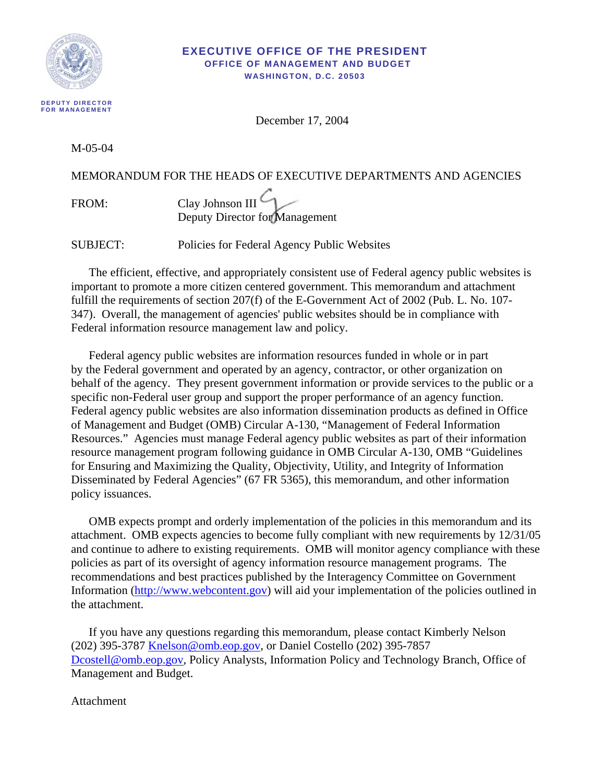

#### **EXECUTIVE OFFICE OF THE PRESIDENT OFFICE OF MANAGEMENT AND BUDGET WASHINGTON, D.C. 20503**

December 17, 2004

M-05-04

## MEMORANDUM FOR THE HEADS OF EXECUTIVE DEPARTMENTS AND AGENCIES

FROM: Clay Johnson III Deputy Director for Management

SUBJECT: Policies for Federal Agency Public Websites

The efficient, effective, and appropriately consistent use of Federal agency public websites is important to promote a more citizen centered government. This memorandum and attachment fulfill the requirements of section 207(f) of the E-Government Act of 2002 (Pub. L. No. 107- 347). Overall, the management of agencies' public websites should be in compliance with Federal information resource management law and policy.

Federal agency public websites are information resources funded in whole or in part by the Federal government and operated by an agency, contractor, or other organization on behalf of the agency. They present government information or provide services to the public or a specific non-Federal user group and support the proper performance of an agency function. Federal agency public websites are also information dissemination products as defined in Office of Management and Budget (OMB) Circular A-130, "Management of Federal Information Resources." Agencies must manage Federal agency public websites as part of their information resource management program following guidance in OMB Circular A-130, OMB "Guidelines for Ensuring and Maximizing the Quality, Objectivity, Utility, and Integrity of Information Disseminated by Federal Agencies" (67 FR 5365), this memorandum, and other information policy issuances.

OMB expects prompt and orderly implementation of the policies in this memorandum and its attachment. OMB expects agencies to become fully compliant with new requirements by 12/31/05 and continue to adhere to existing requirements. OMB will monitor agency compliance with these policies as part of its oversight of agency information resource management programs. The recommendations and best practices published by the Interagency Committee on Government Information [\(http://www.webcontent.gov](http://www.webcontent.gov/)) will aid your implementation of the policies outlined in the attachment.

If you have any questions regarding this memorandum, please contact Kimberly Nelson (202) 395-3787 [Knelson@omb.eop.gov,](mailto:Knelson@omb.eop.gov) or Daniel Costello (202) 395-7857 [Dcostell@omb.eop.gov,](mailto:Dcostell@omb.eop.gov) Policy Analysts, Information Policy and Technology Branch, Office of Management and Budget.

Attachment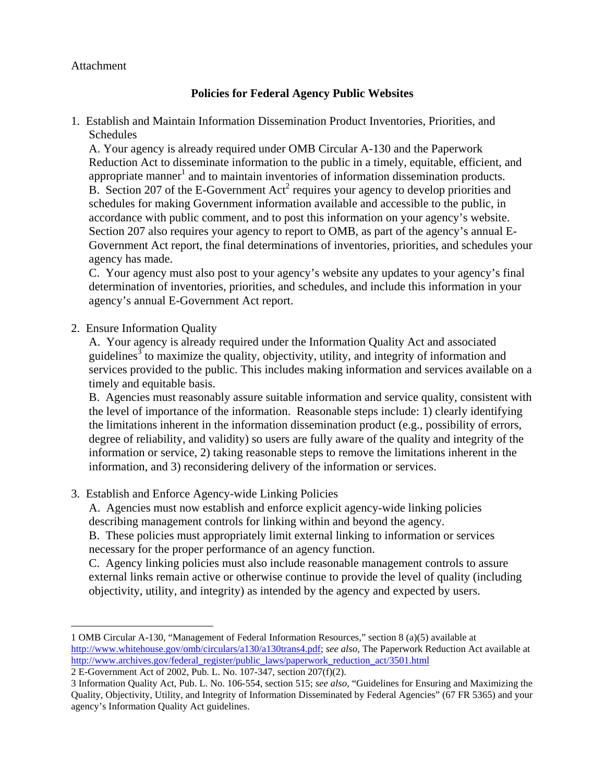### Attachment

# **Policies for Federal Agency Public Websites**

1. Establish and Maintain Information Dissemination Product Inventories, Priorities, and Schedules

A. Your agency is already required under OMB Circular A-130 and the Paperwork Reduction Act to disseminate information to the public in a timely, equitable, efficient, and appropriate manner<sup>[1](#page-1-0)</sup> and to maintain inventories of information dissemination products. B. Section [2](#page-1-1)07 of the E-Government  $Act^2$  requires your agency to develop priorities and schedules for making Government information available and accessible to the public, in accordance with public comment, and to post this information on your agency's website. Section 207 also requires your agency to report to OMB, as part of the agency's annual E-Government Act report, the final determinations of inventories, priorities, and schedules your agency has made.

C. Your agency must also post to your agency's website any updates to your agency's final determination of inventories, priorities, and schedules, and include this information in your agency's annual E-Government Act report.

### 2. Ensure Information Quality

1

A. Your agency is already required under the Information Quality Act and associated guidelines<sup>[3](#page-1-2)</sup> to maximize the quality, objectivity, utility, and integrity of information and services provided to the public. This includes making information and services available on a timely and equitable basis.

B. Agencies must reasonably assure suitable information and service quality, consistent with the level of importance of the information. Reasonable steps include: 1) clearly identifying the limitations inherent in the information dissemination product (e.g., possibility of errors, degree of reliability, and validity) so users are fully aware of the quality and integrity of the information or service, 2) taking reasonable steps to remove the limitations inherent in the information, and 3) reconsidering delivery of the information or services.

3. Establish and Enforce Agency-wide Linking Policies

A. Agencies must now establish and enforce explicit agency-wide linking policies describing management controls for linking within and beyond the agency.

B. These policies must appropriately limit external linking to information or services necessary for the proper performance of an agency function.

C. Agency linking policies must also include reasonable management controls to assure external links remain active or otherwise continue to provide the level of quality (including objectivity, utility, and integrity) as intended by the agency and expected by users.

<span id="page-1-0"></span><sup>1</sup> OMB Circular A-130, "Management of Federal Information Resources," section 8 (a)(5) available at [http://www.whitehouse.gov/omb/circulars/a130/a130trans4.pdf;](http://www.whitehouse.gov/omb/circulars/a130/a130trans4.pdf) *see also,* The Paperwork Reduction Act available at [http://www.archives.gov/federal\\_register/public\\_laws/paperwork\\_reduction\\_act/3501.html](http://www.archives.gov/federal_register/public_laws/paperwork_reduction_act/3501.html)

<span id="page-1-1"></span><sup>2</sup> E-Government Act of 2002, Pub. L. No. 107-347, section 207(f)(2).

<span id="page-1-2"></span><sup>3</sup> Information Quality Act, Pub. L. No. 106-554, section 515; *see also,* "Guidelines for Ensuring and Maximizing the Quality, Objectivity, Utility, and Integrity of Information Disseminated by Federal Agencies" (67 FR 5365) and your agency's Information Quality Act guidelines.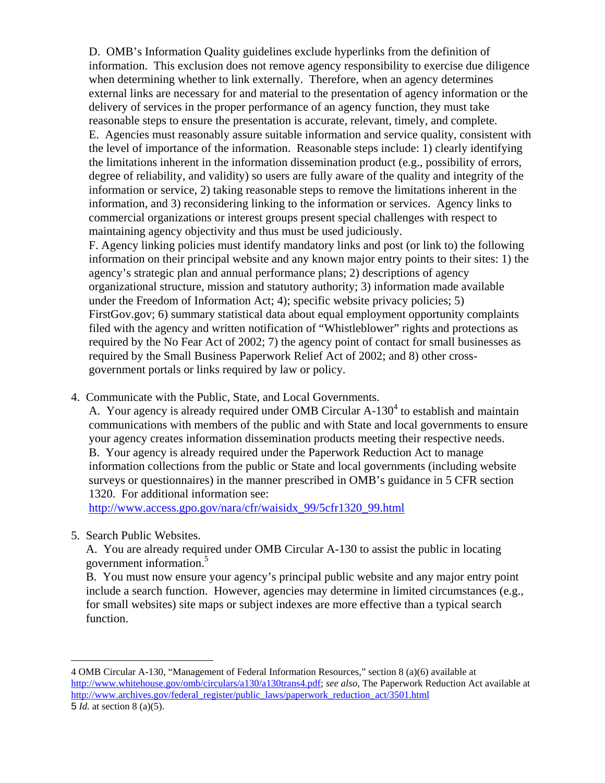D. OMB's Information Quality guidelines exclude hyperlinks from the definition of information. This exclusion does not remove agency responsibility to exercise due diligence when determining whether to link externally. Therefore, when an agency determines external links are necessary for and material to the presentation of agency information or the delivery of services in the proper performance of an agency function, they must take reasonable steps to ensure the presentation is accurate, relevant, timely, and complete.

E. Agencies must reasonably assure suitable information and service quality, consistent with the level of importance of the information. Reasonable steps include: 1) clearly identifying the limitations inherent in the information dissemination product (e.g., possibility of errors, degree of reliability, and validity) so users are fully aware of the quality and integrity of the information or service, 2) taking reasonable steps to remove the limitations inherent in the information, and 3) reconsidering linking to the information or services. Agency links to commercial organizations or interest groups present special challenges with respect to maintaining agency objectivity and thus must be used judiciously.

F. Agency linking policies must identify mandatory links and post (or link to) the following information on their principal website and any known major entry points to their sites: 1) the agency's strategic plan and annual performance plans; 2) descriptions of agency organizational structure, mission and statutory authority; 3) information made available under the Freedom of Information Act; 4); specific website privacy policies; 5) FirstGov.gov; 6) summary statistical data about equal employment opportunity complaints filed with the agency and written notification of "Whistleblower" rights and protections as required by the No Fear Act of 2002; 7) the agency point of contact for small businesses as required by the Small Business Paperwork Relief Act of 2002; and 8) other crossgovernment portals or links required by law or policy.

4. Communicate with the Public, State, and Local Governments.

A. Your agency is already required under OMB Circular  $A-130^4$  $A-130^4$  to establish and maintain communications with members of the public and with State and local governments to ensure your agency creates information dissemination products meeting their respective needs. B. Your agency is already required under the Paperwork Reduction Act to manage information collections from the public or State and local governments (including website surveys or questionnaires) in the manner prescribed in OMB's guidance in 5 CFR section 1320. For additional information see:

http://www.access.gpo.gov/nara/cfr/waisidx\_99/5cfr1320\_99.html

5. Search Public Websites.

1

A. You are already required under OMB Circular A-130 to assist the public in locating government information.<sup>[5](#page-2-1)</sup>

B. You must now ensure your agency's principal public website and any major entry point include a search function. However, agencies may determine in limited circumstances (e.g., for small websites) site maps or subject indexes are more effective than a typical search function.

<span id="page-2-1"></span><span id="page-2-0"></span><sup>4</sup> OMB Circular A-130, "Management of Federal Information Resources," section 8 (a)(6) available at [http://www.whitehouse.gov/omb/circulars/a130/a130trans4.pdf;](http://www.whitehouse.gov/omb/circulars/a130/a130trans4.pdf) *see also,* The Paperwork Reduction Act available at [http://www.archives.gov/federal\\_register/public\\_laws/paperwork\\_reduction\\_act/3501.html](http://www.archives.gov/federal_register/public_laws/paperwork_reduction_act/3501.html) 5 *Id.* at section 8 (a)(5).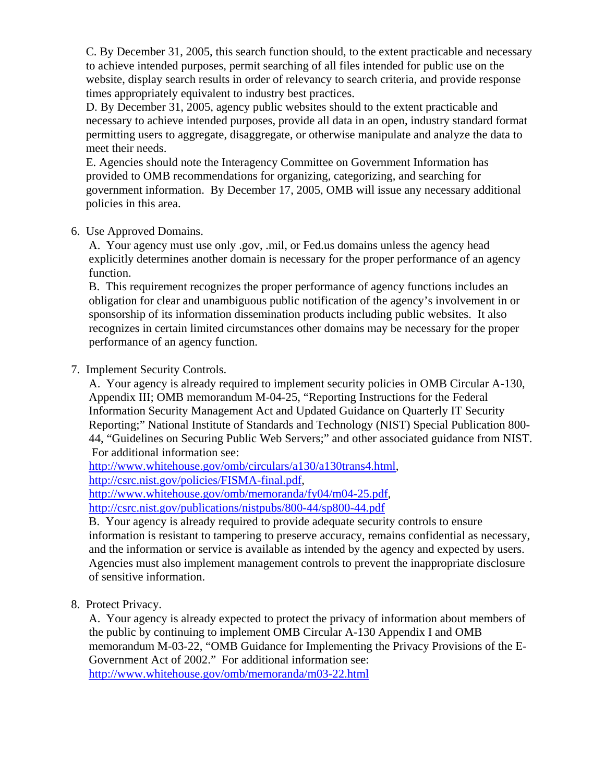C. By December 31, 2005, this search function should, to the extent practicable and necessary to achieve intended purposes, permit searching of all files intended for public use on the website, display search results in order of relevancy to search criteria, and provide response times appropriately equivalent to industry best practices.

D. By December 31, 2005, agency public websites should to the extent practicable and necessary to achieve intended purposes, provide all data in an open, industry standard format permitting users to aggregate, disaggregate, or otherwise manipulate and analyze the data to meet their needs.

E. Agencies should note the Interagency Committee on Government Information has provided to OMB recommendations for organizing, categorizing, and searching for government information. By December 17, 2005, OMB will issue any necessary additional policies in this area.

### 6. Use Approved Domains.

A. Your agency must use only .gov, .mil, or Fed.us domains unless the agency head explicitly determines another domain is necessary for the proper performance of an agency function.

B. This requirement recognizes the proper performance of agency functions includes an obligation for clear and unambiguous public notification of the agency's involvement in or sponsorship of its information dissemination products including public websites. It also recognizes in certain limited circumstances other domains may be necessary for the proper performance of an agency function.

# 7. Implement Security Controls.

A. Your agency is already required to implement security policies in OMB Circular A-130, Appendix III; OMB memorandum M-04-25, "Reporting Instructions for the Federal Information Security Management Act and Updated Guidance on Quarterly IT Security Reporting;" National Institute of Standards and Technology (NIST) Special Publication 800- 44, "Guidelines on Securing Public Web Servers;" and other associated guidance from NIST. For additional information see:

[http://www.whitehouse.gov/omb/circulars/a130/a130trans4.html,](http://www.whitehouse.gov/omb/circulars/a130/a130trans4.html)

<http://csrc.nist.gov/policies/FISMA-final.pdf>,

[http://www.whitehouse.gov/omb/memoranda/fy04/m04-25.pdf,](http://www.whitehouse.gov/omb/memoranda/fy04/m04-25.pdf)

<http://csrc.nist.gov/publications/nistpubs/800-44/sp800-44.pdf>

B. Your agency is already required to provide adequate security controls to ensure information is resistant to tampering to preserve accuracy, remains confidential as necessary, and the information or service is available as intended by the agency and expected by users. Agencies must also implement management controls to prevent the inappropriate disclosure of sensitive information.

# 8. Protect Privacy.

A. Your agency is already expected to protect the privacy of information about members of the public by continuing to implement OMB Circular A-130 Appendix I and OMB memorandum M-03-22, "OMB Guidance for Implementing the Privacy Provisions of the E-Government Act of 2002." For additional information see: <http://www.whitehouse.gov/omb/memoranda/m03-22.html>